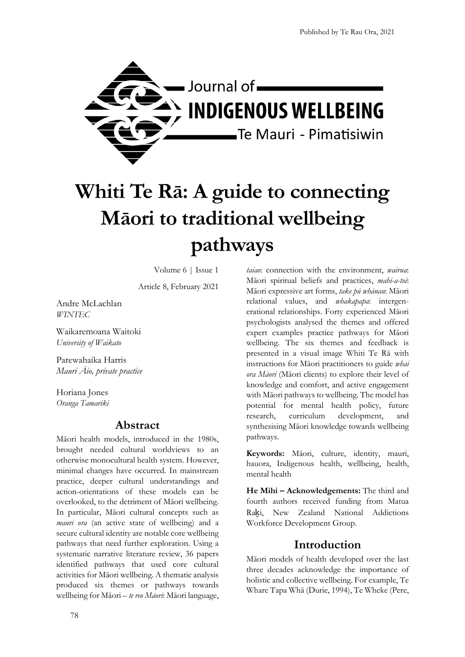

# **Whiti Te Rā: A guide to connecting Māori to traditional wellbeing pathways**

Volume 6 | Issue 1

Article 8, February 2021

Andre McLachlan *WINTEC* 

Waikaremoana Waitoki *University of Waikato*

Parewahaika Harris *Mauri Āio, private practice*

Horiana Jones *Oranga Tamariki* 

#### **Abstract**

Māori health models, introduced in the 1980s, brought needed cultural worldviews to an otherwise monocultural health system. However, minimal changes have occurred. In mainstream practice, deeper cultural understandings and action-orientations of these models can be overlooked, to the detriment of Māori wellbeing. In particular, Māori cultural concepts such as *mauri ora* (an active state of wellbeing) and a secure cultural identity are notable core wellbeing pathways that need further exploration. Using a systematic narrative literature review, 36 papers identified pathways that used core cultural activities for Māori wellbeing. A thematic analysis produced six themes or pathways towards wellbeing for Māori – *te reo Māori*: Māori language, *taiao*: connection with the environment, *wairua*: Māori spiritual beliefs and practices, *mahi-a-toi*: Māori expressive art forms, *take pū whānau*: Māori relational values, and *whakapapa*: intergenerational relationships. Forty experienced Māori psychologists analysed the themes and offered expert examples practice pathways for Māori wellbeing. The six themes and feedback is presented in a visual image Whiti Te Rā with instructions for Māori practitioners to guide *whai ora Māori* (Māori clients) to explore their level of knowledge and comfort, and active engagement with Māori pathways to wellbeing. The model has potential for mental health policy, future research, curriculum development, and synthesising Māori knowledge towards wellbeing pathways.

**Keywords:** Māori, culture, identity, mauri, hauora, Indigenous health, wellbeing, health, mental health

**He Mihi – Acknowledgements:** The third and fourth authors received funding from Matua Raki, New Zealand National Addictions Workforce Development Group.

# **Introduction**

Māori models of health developed over the last three decades acknowledge the importance of holistic and collective wellbeing. For example, Te Whare Tapa Whā (Durie, 1994), Te Wheke (Pere,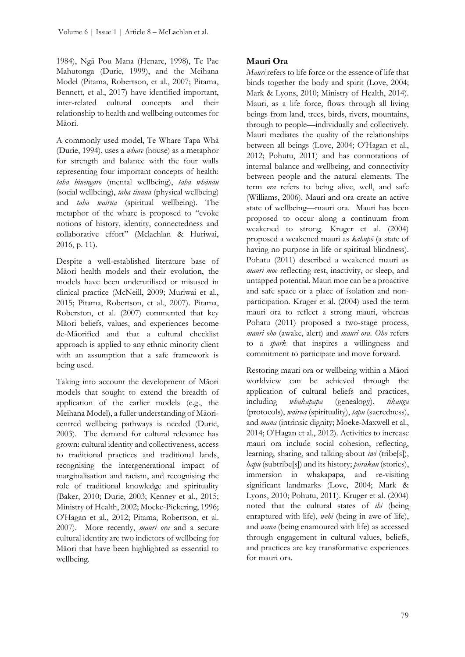1984), Ngā Pou Mana (Henare, 1998), Te Pae Mahutonga (Durie, 1999), and the Meihana Model (Pitama, Robertson, et al., 2007; Pitama, Bennett, et al., 2017) have identified important, inter-related cultural concepts and their relationship to health and wellbeing outcomes for Māori.

A commonly used model, Te Whare Tapa Whā (Durie, 1994), uses a *whare* (house) as a metaphor for strength and balance with the four walls representing four important concepts of health: *taha hinengaro* (mental wellbeing), *taha whānau* (social wellbeing), *taha tinana* (physical wellbeing) and *taha wairua* (spiritual wellbeing). The metaphor of the whare is proposed to "evoke notions of history, identity, connectedness and collaborative effort" (Mclachlan & Huriwai, 2016, p. 11).

Despite a well-established literature base of Māori health models and their evolution, the models have been underutilised or misused in clinical practice (McNeill, 2009; Muriwai et al., 2015; Pitama, Robertson, et al., 2007). Pitama, Roberston, et al. (2007) commented that key Māori beliefs, values, and experiences become de-Māorified and that a cultural checklist approach is applied to any ethnic minority client with an assumption that a safe framework is being used.

Taking into account the development of Māori models that sought to extend the breadth of application of the earlier models (e.g., the Meihana Model), a fuller understanding of Māoricentred wellbeing pathways is needed (Durie, 2003). The demand for cultural relevance has grown: cultural identity and collectiveness, access to traditional practices and traditional lands, recognising the intergenerational impact of marginalisation and racism, and recognising the role of traditional knowledge and spirituality (Baker, 2010; Durie, 2003; Kenney et al., 2015; Ministry of Health, 2002; Moeke-Pickering, 1996; O'Hagan et al., 2012; Pitama, Robertson, et al. 2007). More recently, *mauri ora* and a secure cultural identity are two indictors of wellbeing for Māori that have been highlighted as essential to wellbeing.

# **Mauri Ora**

*Mauri* refers to life force or the essence of life that binds together the body and spirit (Love, 2004; Mark & Lyons, 2010; Ministry of Health, 2014). Mauri, as a life force, flows through all living beings from land, trees, birds, rivers, mountains, through to people—individually and collectively. Mauri mediates the quality of the relationships between all beings (Love, 2004; O'Hagan et al., 2012; Pohutu, 2011) and has connotations of internal balance and wellbeing, and connectivity between people and the natural elements. The term *ora* refers to being alive, well, and safe (Williams, 2006). Mauri and ora create an active state of wellbeing—mauri ora. Mauri has been proposed to occur along a continuum from weakened to strong. Kruger et al. (2004) proposed a weakened mauri as *kahupō* (a state of having no purpose in life or spiritual blindness). Pohatu (2011) described a weakened mauri as *mauri moe* reflecting rest, inactivity, or sleep, and untapped potential. Mauri moe can be a proactive and safe space or a place of isolation and nonparticipation. Kruger et al. (2004) used the term mauri ora to reflect a strong mauri, whereas Pohatu (2011) proposed a two-stage process, *mauri oho* (awake, alert) and *mauri ora*. *Oho* refers to a *spark* that inspires a willingness and commitment to participate and move forward.

Restoring mauri ora or wellbeing within a Māori worldview can be achieved through the application of cultural beliefs and practices, including *whakapapa* (genealogy), *tikanga* (protocols), *wairua* (spirituality), *tapu* (sacredness), and *mana* (intrinsic dignity; Moeke-Maxwell et al., 2014; O'Hagan et al., 2012). Activities to increase mauri ora include social cohesion, reflecting, learning, sharing, and talking about *iwi* (tribe[s]), *hapū* (subtribe[s]) and its history; *pūrākau* (stories), immersion in whakapapa, and re-visiting significant landmarks (Love, 2004; Mark & Lyons, 2010; Pohutu, 2011). Kruger et al. (2004) noted that the cultural states of *ihi* (being enraptured with life), *wehi* (being in awe of life), and *wana* (being enamoured with life) as accessed through engagement in cultural values, beliefs, and practices are key transformative experiences for mauri ora.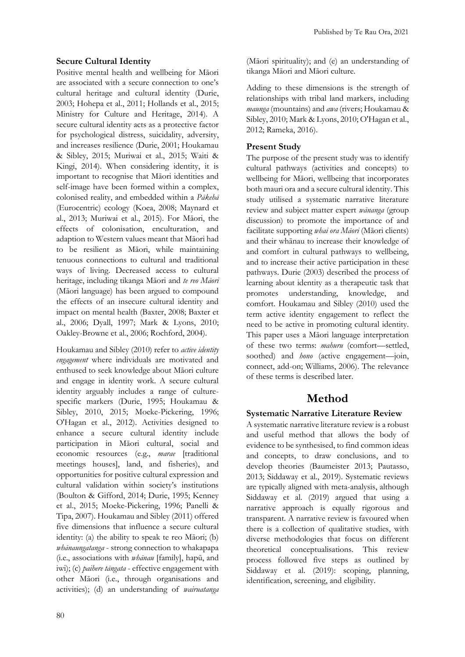#### **Secure Cultural Identity**

Positive mental health and wellbeing for Māori are associated with a secure connection to one's cultural heritage and cultural identity (Durie, 2003; Hohepa et al., 2011; Hollands et al., 2015; Ministry for Culture and Heritage, 2014). A secure cultural identity acts as a protective factor for psychological distress, suicidality, adversity, and increases resilience (Durie, 2001; Houkamau & Sibley, 2015; Muriwai et al., 2015; Waiti & Kingi, 2014). When considering identity, it is important to recognise that Māori identities and self-image have been formed within a complex, colonised reality, and embedded within a *Pākehā* (Eurocentric) ecology (Koea, 2008; Maynard et al., 2013; Muriwai et al., 2015). For Māori, the effects of colonisation, enculturation, and adaption to Western values meant that Māori had to be resilient as Māori, while maintaining tenuous connections to cultural and traditional ways of living. Decreased access to cultural heritage, including tikanga Māori and *te reo Māori* (Māori language) has been argued to compound the effects of an insecure cultural identity and impact on mental health (Baxter, 2008; Baxter et al., 2006; Dyall, 1997; Mark & Lyons, 2010; Oakley-Browne et al., 2006; Rochford, 2004).

Houkamau and Sibley (2010) refer to *active identity engagement* where individuals are motivated and enthused to seek knowledge about Māori culture and engage in identity work. A secure cultural identity arguably includes a range of culturespecific markers (Durie, 1995; Houkamau & Sibley, 2010, 2015; Moeke-Pickering, 1996; O'Hagan et al., 2012). Activities designed to enhance a secure cultural identity include participation in Māori cultural, social and economic resources (e.g., *marae* [traditional meetings houses], land, and fisheries), and opportunities for positive cultural expression and cultural validation within society's institutions (Boulton & Gifford, 2014; Durie, 1995; Kenney et al., 2015; Moeke-Pickering, 1996; Panelli & Tipa, 2007). Houkamau and Sibley (2011) offered five dimensions that influence a secure cultural identity: (a) the ability to speak te reo Māori; (b) *whānaungatanga* - strong connection to whakapapa (i.e., associations with *whānau* [family], hapū, and iwi); (c) *paihere tāngata* - effective engagement with other Māori (i.e., through organisations and activities); (d) an understanding of *wairuatanga*

(Māori spirituality); and (e) an understanding of tikanga Māori and Māori culture.

Adding to these dimensions is the strength of relationships with tribal land markers, including *maunga* (mountains) and *awa* (rivers; Houkamau & Sibley, 2010; Mark & Lyons, 2010; O'Hagan et al., 2012; Rameka, 2016).

#### **Present Study**

The purpose of the present study was to identify cultural pathways (activities and concepts) to wellbeing for Māori, wellbeing that incorporates both mauri ora and a secure cultural identity. This study utilised a systematic narrative literature review and subject matter expert *wānanga* (group discussion) to promote the importance of and facilitate supporting *whai ora Māori* (Māori clients) and their whānau to increase their knowledge of and comfort in cultural pathways to wellbeing, and to increase their active participation in these pathways. Durie (2003) described the process of learning about identity as a therapeutic task that promotes understanding, knowledge, and comfort. Houkamau and Sibley (2010) used the term active identity engagement to reflect the need to be active in promoting cultural identity. This paper uses a Māori language interpretation of these two terms: *mahuru* (comfort—settled, soothed) and *hono* (active engagement—join, connect, add-on; Williams, 2006). The relevance of these terms is described later.

# **Method**

#### **Systematic Narrative Literature Review**

A systematic narrative literature review is a robust and useful method that allows the body of evidence to be synthesised, to find common ideas and concepts, to draw conclusions, and to develop theories (Baumeister 2013; Pautasso, 2013; Siddaway et al., 2019). Systematic reviews are typically aligned with meta-analysis, although Siddaway et al. (2019) argued that using a narrative approach is equally rigorous and transparent. A narrative review is favoured when there is a collection of qualitative studies, with diverse methodologies that focus on different theoretical conceptualisations. This review process followed five steps as outlined by Siddaway et al. (2019): scoping, planning, identification, screening, and eligibility.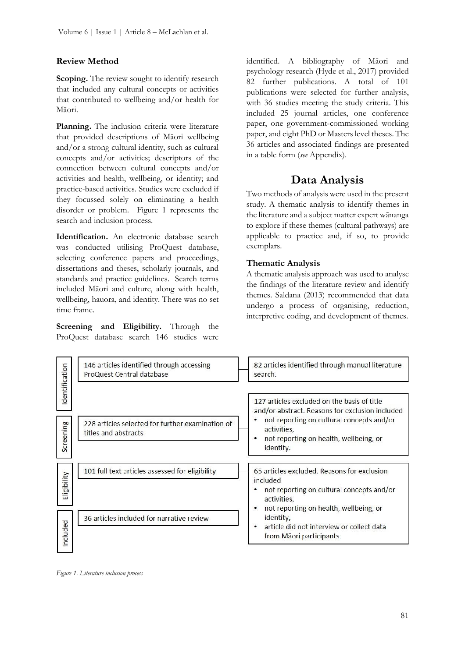#### **Review Method**

**Scoping.** The review sought to identify research that included any cultural concepts or activities that contributed to wellbeing and/or health for Māori.

**Planning.** The inclusion criteria were literature that provided descriptions of Māori wellbeing and/or a strong cultural identity, such as cultural concepts and/or activities; descriptors of the connection between cultural concepts and/or activities and health, wellbeing, or identity; and practice-based activities. Studies were excluded if they focussed solely on eliminating a health disorder or problem. Figure 1 represents the search and inclusion process.

**Identification.** An electronic database search was conducted utilising ProQuest database, selecting conference papers and proceedings, dissertations and theses, scholarly journals, and standards and practice guidelines. Search terms included Māori and culture, along with health, wellbeing, hauora, and identity. There was no set time frame.

**Screening and Eligibility.** Through the ProQuest database search 146 studies were

identified. A bibliography of Māori and psychology research (Hyde et al., 2017) provided 82 further publications. A total of 101 publications were selected for further analysis, with 36 studies meeting the study criteria. This included 25 journal articles, one conference paper, one government-commissioned working paper, and eight PhD or Masters level theses. The 36 articles and associated findings are presented in a table form (*see* Appendix).

# **Data Analysis**

Two methods of analysis were used in the present study. A thematic analysis to identify themes in the literature and a subject matter expert wānanga to explore if these themes (cultural pathways) are applicable to practice and, if so, to provide exemplars.

#### **Thematic Analysis**

A thematic analysis approach was used to analyse the findings of the literature review and identify themes. Saldana (2013) recommended that data undergo a process of organising, reduction, interpretive coding, and development of themes.



*Figure 1. Literature inclusion process*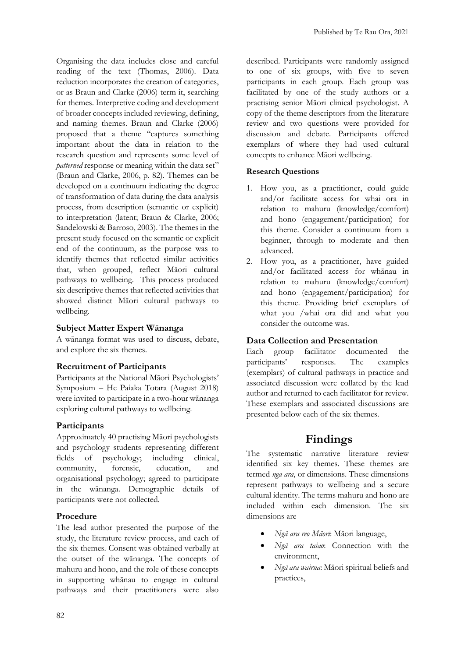Organising the data includes close and careful reading of the text (Thomas, 2006). Data reduction incorporates the creation of categories, or as Braun and Clarke (2006) term it, searching for themes. Interpretive coding and development of broader concepts included reviewing, defining, and naming themes. Braun and Clarke (2006) proposed that a theme "captures something important about the data in relation to the research question and represents some level of *patterned* response or meaning within the data set" (Braun and Clarke, 2006, p. 82). Themes can be developed on a continuum indicating the degree of transformation of data during the data analysis process, from description (semantic or explicit) to interpretation (latent; Braun & Clarke, 2006; Sandelowski & Barroso, 2003). The themes in the present study focused on the semantic or explicit end of the continuum, as the purpose was to identify themes that reflected similar activities that, when grouped, reflect Māori cultural pathways to wellbeing. This process produced six descriptive themes that reflected activities that showed distinct Māori cultural pathways to wellbeing.

#### **Subject Matter Expert Wānanga**

A wānanga format was used to discuss, debate, and explore the six themes.

#### **Recruitment of Participants**

Participants at the National Māori Psychologists' Symposium – He Paiaka Totara (August 2018) were invited to participate in a two-hour wānanga exploring cultural pathways to wellbeing.

#### **Participants**

Approximately 40 practising Māori psychologists and psychology students representing different fields of psychology; including clinical, community, forensic, education, and organisational psychology; agreed to participate in the wānanga. Demographic details of participants were not collected.

#### **Procedure**

The lead author presented the purpose of the study, the literature review process, and each of the six themes. Consent was obtained verbally at the outset of the wānanga. The concepts of mahuru and hono, and the role of these concepts in supporting whānau to engage in cultural pathways and their practitioners were also

described. Participants were randomly assigned to one of six groups, with five to seven participants in each group. Each group was facilitated by one of the study authors or a practising senior Māori clinical psychologist. A copy of the theme descriptors from the literature review and two questions were provided for discussion and debate. Participants offered exemplars of where they had used cultural concepts to enhance Māori wellbeing.

#### **Research Questions**

- 1. How you, as a practitioner, could guide and/or facilitate access for whai ora in relation to mahuru (knowledge/comfort) and hono (engagement/participation) for this theme. Consider a continuum from a beginner, through to moderate and then advanced.
- 2. How you, as a practitioner, have guided and/or facilitated access for whānau in relation to mahuru (knowledge/comfort) and hono (engagement/participation) for this theme. Providing brief exemplars of what you /whai ora did and what you consider the outcome was.

#### **Data Collection and Presentation**

Each group facilitator documented the participants' responses. The examples (exemplars) of cultural pathways in practice and associated discussion were collated by the lead author and returned to each facilitator for review. These exemplars and associated discussions are presented below each of the six themes.

## **Findings**

The systematic narrative literature review identified six key themes. These themes are termed *ngā ara*, or dimensions. These dimensions represent pathways to wellbeing and a secure cultural identity. The terms mahuru and hono are included within each dimension. The six dimensions are

- *Ngā ara reo Māori*: Māori language,
- *Ngā ara taiao*: Connection with the environment,
- *Ngā ara wairua*: Māori spiritual beliefs and practices,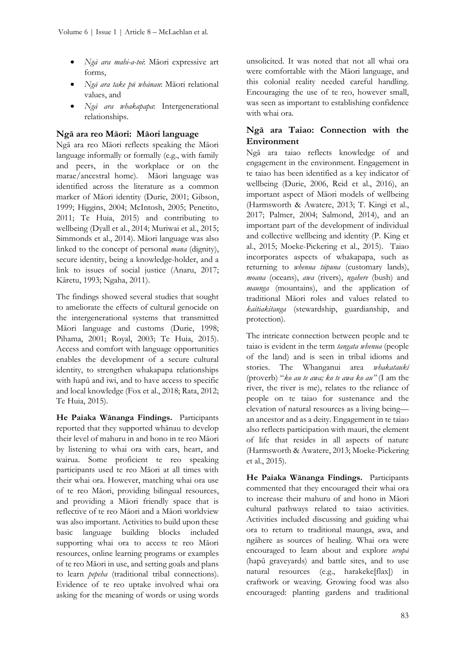- *Ngā ara mahi-a-toi*: Māori expressive art forms,
- *Ngā ara take pū whānau*: Māori relational values, and
- *Ngā ara whakapapa*: Intergenerational relationships.

### **Ngā ara reo Māori: Māori language**

Ngā ara reo Māori reflects speaking the Māori language informally or formally (e.g., with family and peers, in the workplace or on the marae/ancestral home). Māori language was identified across the literature as a common marker of Māori identity (Durie, 2001; Gibson, 1999; Higgins, 2004; McIntosh, 2005; Penetito, 2011; Te Huia, 2015) and contributing to wellbeing (Dyall et al., 2014; Muriwai et al., 2015; Simmonds et al., 2014). Māori language was also linked to the concept of personal *mana* (dignity), secure identity, being a knowledge-holder, and a link to issues of social justice (Anaru, 2017; Kāretu, 1993; Ngaha, 2011).

The findings showed several studies that sought to ameliorate the effects of cultural genocide on the intergenerational systems that transmitted Māori language and customs (Durie, 1998; Pihama, 2001; Royal, 2003; Te Huia, 2015). Access and comfort with language opportunities enables the development of a secure cultural identity, to strengthen whakapapa relationships with hapū and iwi, and to have access to specific and local knowledge (Fox et al., 2018; Rata, 2012; Te Huia, 2015).

**He Paiaka Wānanga Findings.** Participants reported that they supported whānau to develop their level of mahuru in and hono in te reo Māori by listening to whai ora with ears, heart, and wairua. Some proficient te reo speaking participants used te reo Māori at all times with their whai ora. However, matching whai ora use of te reo Māori, providing bilingual resources, and providing a Māori friendly space that is reflective of te reo Māori and a Māori worldview was also important. Activities to build upon these basic language building blocks included supporting whai ora to access te reo Māori resources, online learning programs or examples of te reo Māori in use, and setting goals and plans to learn *pepeha* (traditional tribal connections). Evidence of te reo uptake involved whai ora asking for the meaning of words or using words

unsolicited. It was noted that not all whai ora were comfortable with the Māori language, and this colonial reality needed careful handling. Encouraging the use of te reo, however small, was seen as important to establishing confidence with whai ora.

# **Ngā ara Taiao: Connection with the Environment**

Ngā ara taiao reflects knowledge of and engagement in the environment. Engagement in te taiao has been identified as a key indicator of wellbeing (Durie, 2006, Reid et al., 2016), an important aspect of Māori models of wellbeing (Harmsworth & Awatere, 2013; T. Kingi et al., 2017; Palmer, 2004; Salmond, 2014), and an important part of the development of individual and collective wellbeing and identity (P. King et al., 2015; Moeke-Pickering et al., 2015). Taiao incorporates aspects of whakapapa, such as returning to *whenua tūpuna* (customary lands), *moana* (oceans), *awa* (rivers), *ngahere* (bush) and *maunga* (mountains), and the application of traditional Māori roles and values related to *kaitiakitanga* (stewardship, guardianship, and protection).

The intricate connection between people and te taiao is evident in the term *tangata whenua* (people of the land) and is seen in tribal idioms and stories. The Whanganui area *whakataukī*  (proverb) "*ko au te awa; ko te awa ko au"* (I am the river, the river is me), relates to the reliance of people on te taiao for sustenance and the elevation of natural resources as a living being an ancestor and as a deity. Engagement in te taiao also reflects participation with mauri, the element of life that resides in all aspects of nature (Harmsworth & Awatere, 2013; Moeke-Pickering et al., 2015).

**He Paiaka Wānanga Findings.** Participants commented that they encouraged their whai ora to increase their mahuru of and hono in Māori cultural pathways related to taiao activities. Activities included discussing and guiding whai ora to return to traditional maunga, awa, and ngāhere as sources of healing. Whai ora were encouraged to learn about and explore *urupā*  (hapū graveyards) and battle sites, and to use natural resources (e.g., harakeke[flax]) in craftwork or weaving. Growing food was also encouraged: planting gardens and traditional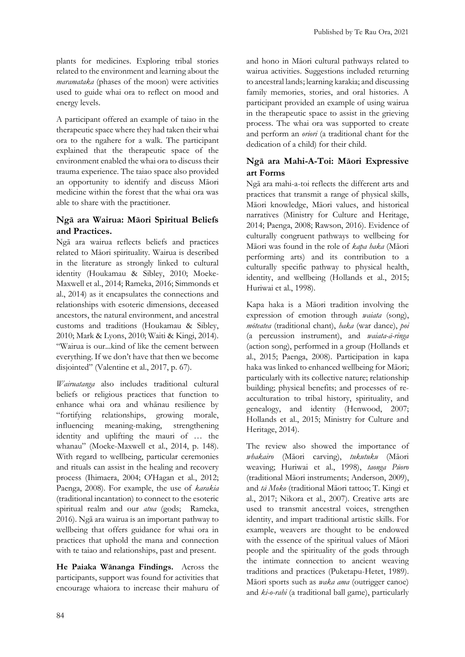plants for medicines. Exploring tribal stories related to the environment and learning about the *maramataka* (phases of the moon) were activities used to guide whai ora to reflect on mood and energy levels.

A participant offered an example of taiao in the therapeutic space where they had taken their whai ora to the ngahere for a walk. The participant explained that the therapeutic space of the environment enabled the whai ora to discuss their trauma experience. The taiao space also provided an opportunity to identify and discuss Māori medicine within the forest that the whai ora was able to share with the practitioner.

# **Ngā ara Wairua: Māori Spiritual Beliefs and Practices.**

Ngā ara wairua reflects beliefs and practices related to Māori spirituality. Wairua is described in the literature as strongly linked to cultural identity (Houkamau & Sibley, 2010; Moeke-Maxwell et al., 2014; Rameka, 2016; Simmonds et al., 2014) as it encapsulates the connections and relationships with esoteric dimensions, deceased ancestors, the natural environment, and ancestral customs and traditions (Houkamau & Sibley, 2010; Mark & Lyons, 2010; Waiti & Kingi, 2014). "Wairua is our...kind of like the cement between everything. If we don't have that then we become disjointed" (Valentine et al., 2017, p. 67).

*Wairuatanga* also includes traditional cultural beliefs or religious practices that function to enhance whai ora and whānau resilience by "fortifying relationships, growing morale, influencing meaning-making, strengthening identity and uplifting the mauri of … the whanau" (Moeke-Maxwell et al., 2014, p. 148). With regard to wellbeing, particular ceremonies and rituals can assist in the healing and recovery process (Ihimaera, 2004; O'Hagan et al., 2012; Paenga, 2008). For example, the use of *karakia* (traditional incantation) to connect to the esoteric spiritual realm and our *atua* (gods; Rameka, 2016). Ngā ara wairua is an important pathway to wellbeing that offers guidance for whai ora in practices that uphold the mana and connection with te taiao and relationships, past and present.

**He Paiaka Wānanga Findings.** Across the participants, support was found for activities that encourage whaiora to increase their mahuru of and hono in Māori cultural pathways related to wairua activities. Suggestions included returning to ancestral lands; learning karakia; and discussing family memories, stories, and oral histories. A participant provided an example of using wairua in the therapeutic space to assist in the grieving process. The whai ora was supported to create and perform an *oriori* (a traditional chant for the dedication of a child) for their child.

#### **Ngā ara Mahi-A-Toi: Māori Expressive art Forms**

Ngā ara mahi-a-toi reflects the different arts and practices that transmit a range of physical skills, Māori knowledge, Māori values, and historical narratives (Ministry for Culture and Heritage, 2014; Paenga, 2008; Rawson, 2016). Evidence of culturally congruent pathways to wellbeing for Māori was found in the role of *kapa haka* (Māori performing arts) and its contribution to a culturally specific pathway to physical health, identity, and wellbeing (Hollands et al., 2015; Huriwai et al., 1998).

Kapa haka is a Māori tradition involving the expression of emotion through *waiata* (song), *mōteatea* (traditional chant), *haka* (war dance), *poi* (a percussion instrument), and *waiata-ā-ringa* (action song), performed in a group (Hollands et al., 2015; Paenga, 2008). Participation in kapa haka was linked to enhanced wellbeing for Māori; particularly with its collective nature; relationship building; physical benefits; and processes of reacculturation to tribal history, spirituality, and genealogy, and identity (Henwood, 2007; Hollands et al., 2015; Ministry for Culture and Heritage, 2014).

The review also showed the importance of *whakairo* (Māori carving), *tukutuku* (Māori weaving; Huriwai et al., 1998), *taonga Pūoro* (traditional Māori instruments; Anderson, 2009), and *tā Moko* (traditional Māori tattoo; T. Kingi et al., 2017; Nikora et al., 2007). Creative arts are used to transmit ancestral voices, strengthen identity, and impart traditional artistic skills. For example, weavers are thought to be endowed with the essence of the spiritual values of Māori people and the spirituality of the gods through the intimate connection to ancient weaving traditions and practices (Puketapu-Hetet, 1989). Māori sports such as *waka ama* (outrigger canoe) and *ki-o-rahi* (a traditional ball game), particularly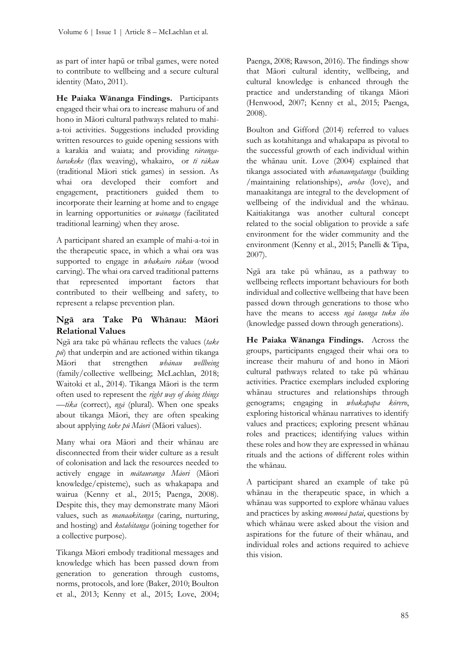as part of inter hapū or tribal games, were noted to contribute to wellbeing and a secure cultural identity (Mato, 2011).

**He Paiaka Wānanga Findings.** Participants engaged their whai ora to increase mahuru of and hono in Māori cultural pathways related to mahia-toi activities. Suggestions included providing written resources to guide opening sessions with a karakia and waiata; and providing *rārangaharakeke* (flax weaving), whakairo, or *tī rākau* (traditional Māori stick games) in session. As whai ora developed their comfort and engagement, practitioners guided them to incorporate their learning at home and to engage in learning opportunities or *wānanga* (facilitated traditional learning) when they arose.

A participant shared an example of mahi-a-toi in the therapeutic space, in which a whai ora was supported to engage in *whakairo rākau* (wood carving). The whai ora carved traditional patterns that represented important factors that contributed to their wellbeing and safety, to represent a relapse prevention plan.

# **Ngā ara Take Pū Whānau: Māori Relational Values**

Ngā ara take pū whānau reflects the values (*take pū*) that underpin and are actioned within tikanga Māori that strengthen *whānau wellbeing* (family/collective wellbeing; McLachlan, 2018; Waitoki et al., 2014). Tikanga Māori is the term often used to represent the *right way of doing things* —*tika* (correct), *ngā* (plural). When one speaks about tikanga Māori, they are often speaking about applying *take pū Māori* (Māori values).

Many whai ora Māori and their whānau are disconnected from their wider culture as a result of colonisation and lack the resources needed to actively engage in *mātauranga Māori* (Māori knowledge/episteme), such as whakapapa and wairua (Kenny et al., 2015; Paenga, 2008). Despite this, they may demonstrate many Māori values, such as *manaakitanga* (caring, nurturing, and hosting) and *kotahitanga* (joining together for a collective purpose).

Tikanga Māori embody traditional messages and knowledge which has been passed down from generation to generation through customs, norms, protocols, and lore (Baker, 2010; Boulton et al., 2013; Kenny et al., 2015; Love, 2004;

Paenga, 2008; Rawson, 2016). The findings show that Māori cultural identity, wellbeing, and cultural knowledge is enhanced through the practice and understanding of tikanga Māori (Henwood, 2007; Kenny et al., 2015; Paenga, 2008).

Boulton and Gifford (2014) referred to values such as kotahitanga and whakapapa as pivotal to the successful growth of each individual within the whānau unit. Love (2004) explained that tikanga associated with *whanaungatanga* (building /maintaining relationships), *aroha* (love), and manaakitanga are integral to the development of wellbeing of the individual and the whānau. Kaitiakitanga was another cultural concept related to the social obligation to provide a safe environment for the wider community and the environment (Kenny et al., 2015; Panelli & Tipa, 2007).

Ngā ara take pū whānau, as a pathway to wellbeing reflects important behaviours for both individual and collective wellbeing that have been passed down through generations to those who have the means to access *ngā taonga tuku iho* (knowledge passed down through generations).

**He Paiaka Wānanga Findings.** Across the groups, participants engaged their whai ora to increase their mahuru of and hono in Māori cultural pathways related to take pū whānau activities. Practice exemplars included exploring whānau structures and relationships through genograms; engaging in *whakapapa kōrero*, exploring historical whānau narratives to identify values and practices; exploring present whānau roles and practices; identifying values within these roles and how they are expressed in whānau rituals and the actions of different roles within the whānau.

A participant shared an example of take pū whānau in the therapeutic space, in which a whānau was supported to explore whānau values and practices by asking *momoeā patai*, questions by which whānau were asked about the vision and aspirations for the future of their whānau, and individual roles and actions required to achieve this vision.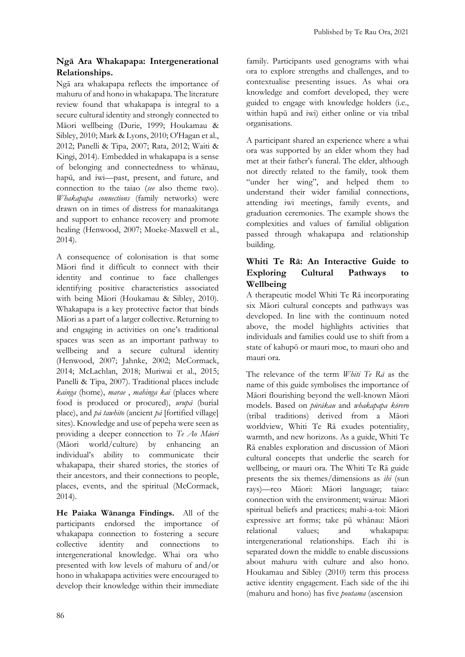## **Ngā Ara Whakapapa: Intergenerational Relationships.**

Ngā ara whakapapa reflects the importance of mahuru of and hono in whakapapa. The literature review found that whakapapa is integral to a secure cultural identity and strongly connected to Māori wellbeing (Durie, 1999; Houkamau & Sibley, 2010; Mark & Lyons, 2010; O'Hagan et al., 2012; Panelli & Tipa, 2007; Rata, 2012; Waiti & Kingi, 2014). Embedded in whakapapa is a sense of belonging and connectedness to whānau, hapū, and iwi—past, present, and future, and connection to the taiao (*see* also theme two). *Whakapapa connections* (family networks) were drawn on in times of distress for manaakitanga and support to enhance recovery and promote healing (Henwood, 2007; Moeke-Maxwell et al., 2014).

A consequence of colonisation is that some Māori find it difficult to connect with their identity and continue to face challenges identifying positive characteristics associated with being Māori (Houkamau & Sibley, 2010). Whakapapa is a key protective factor that binds Māori as a part of a larger collective. Returning to and engaging in activities on one's traditional spaces was seen as an important pathway to wellbeing and a secure cultural identity (Henwood, 2007; Jahnke, 2002; McCormack, 2014; McLachlan, 2018; Muriwai et al., 2015; Panelli & Tipa, 2007). Traditional places include *kainga* (home), *marae* , *mahinga kai* (places where food is produced or procured), *urupā* (burial place), and *pā tawhito* (ancient *pā* [fortified village] sites). Knowledge and use of pepeha were seen as providing a deeper connection to *Te Ao Māori* (Māori world/culture) by enhancing an individual's ability to communicate their whakapapa, their shared stories, the stories of their ancestors, and their connections to people, places, events, and the spiritual (McCormack, 2014).

**He Paiaka Wānanga Findings.** All of the participants endorsed the importance of whakapapa connection to fostering a secure collective identity and connections to intergenerational knowledge. Whai ora who presented with low levels of mahuru of and/or hono in whakapapa activities were encouraged to develop their knowledge within their immediate family. Participants used genograms with whai ora to explore strengths and challenges, and to contextualise presenting issues. As whai ora knowledge and comfort developed, they were guided to engage with knowledge holders (i.e., within hapū and iwi) either online or via tribal organisations.

A participant shared an experience where a whai ora was supported by an elder whom they had met at their father's funeral. The elder, although not directly related to the family, took them "under her wing", and helped them to understand their wider familial connections, attending iwi meetings, family events, and graduation ceremonies. The example shows the complexities and values of familial obligation passed through whakapapa and relationship building.

#### **Whiti Te Rā: An Interactive Guide to Exploring Cultural Pathways to Wellbeing**

A therapeutic model Whiti Te Rā incorporating six Māori cultural concepts and pathways was developed. In line with the continuum noted above, the model highlights activities that individuals and families could use to shift from a state of kahupō or mauri moe, to mauri oho and mauri ora.

The relevance of the term *Whiti Te Rā* as the name of this guide symbolises the importance of Māori flourishing beyond the well-known Māori models. Based on *pūrākau* and *whakapapa kōrero* (tribal traditions) derived from a Māori worldview, Whiti Te Rā exudes potentiality, warmth, and new horizons. As a guide, Whiti Te Rā enables exploration and discussion of Māori cultural concepts that underlie the search for wellbeing, or mauri ora. The Whiti Te Rā guide presents the six themes/dimensions as *ihi* (sun rays)—reo Māori: Māori language; taiao: connection with the environment; wairua: Māori spiritual beliefs and practices; mahi-a-toi: Māori expressive art forms; take pū whānau: Māori relational values; and whakapapa: intergenerational relationships. Each ihi is separated down the middle to enable discussions about mahuru with culture and also hono. Houkamau and Sibley (2010) term this process active identity engagement. Each side of the ihi (mahuru and hono) has five *poutama* (ascension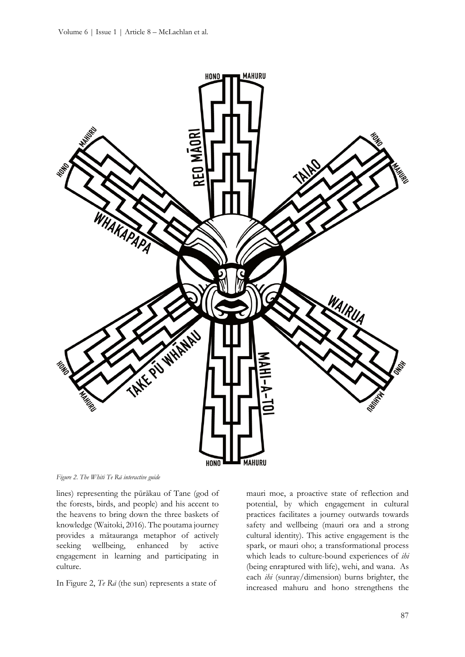

*Figure 2. The Whiti Te Rā interactive guide*

lines) representing the pūrākau of Tane (god of the forests, birds, and people) and his accent to the heavens to bring down the three baskets of knowledge (Waitoki, 2016). The poutama journey provides a mātauranga metaphor of actively seeking wellbeing, enhanced by active engagement in learning and participating in culture.

In Figure 2, *Te Rā* (the sun) represents a state of

mauri moe, a proactive state of reflection and potential, by which engagement in cultural practices facilitates a journey outwards towards safety and wellbeing (mauri ora and a strong cultural identity). This active engagement is the spark, or mauri oho; a transformational process which leads to culture-bound experiences of *ihi* (being enraptured with life), wehi, and wana. As each *ihi* (sunray/dimension) burns brighter, the increased mahuru and hono strengthens the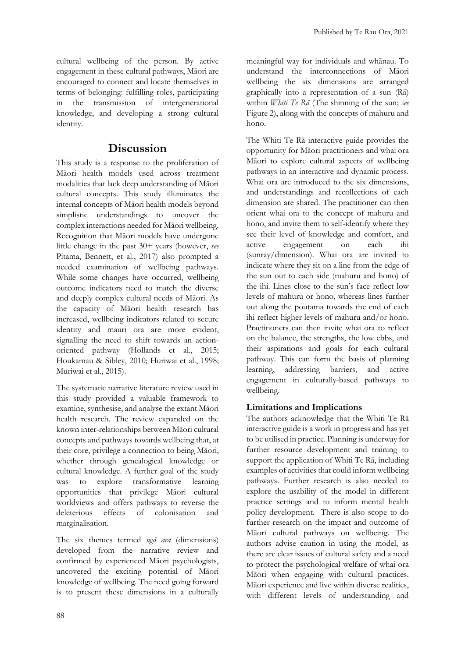cultural wellbeing of the person. By active engagement in these cultural pathways, Māori are encouraged to connect and locate themselves in terms of belonging: fulfilling roles, participating in the transmission of intergenerational knowledge, and developing a strong cultural identity.

# **Discussion**

This study is a response to the proliferation of Māori health models used across treatment modalities that lack deep understanding of Māori cultural concepts. This study illuminates the internal concepts of Māori health models beyond simplistic understandings to uncover the complex interactions needed for Māori wellbeing. Recognition that Māori models have undergone little change in the past 30+ years (however, *see* Pitama, Bennett, et al., 2017) also prompted a needed examination of wellbeing pathways. While some changes have occurred, wellbeing outcome indicators need to match the diverse and deeply complex cultural needs of Māori. As the capacity of Māori health research has increased, wellbeing indicators related to secure identity and mauri ora are more evident, signalling the need to shift towards an actionoriented pathway (Hollands et al., 2015; Houkamau & Sibley, 2010; Huriwai et al., 1998; Muriwai et al., 2015).

The systematic narrative literature review used in this study provided a valuable framework to examine, synthesise, and analyse the extant Māori health research. The review expanded on the known inter-relationships between Māori cultural concepts and pathways towards wellbeing that, at their core, privilege a connection to being Māori, whether through genealogical knowledge or cultural knowledge. A further goal of the study was to explore transformative learning opportunities that privilege Māori cultural worldviews and offers pathways to reverse the deleterious effects of colonisation and marginalisation.

The six themes termed *ngā ara* (dimensions) developed from the narrative review and confirmed by experienced Māori psychologists, uncovered the exciting potential of Māori knowledge of wellbeing. The need going forward is to present these dimensions in a culturally

meaningful way for individuals and whānau. To understand the interconnections of Māori wellbeing the six dimensions are arranged graphically into a representation of a sun (Rā) within *Whiti Te Rā* (The shinning of the sun; *see* Figure 2), along with the concepts of mahuru and hono.

The Whiti Te Rā interactive guide provides the opportunity for Māori practitioners and whai ora Māori to explore cultural aspects of wellbeing pathways in an interactive and dynamic process. Whai ora are introduced to the six dimensions, and understandings and recollections of each dimension are shared. The practitioner can then orient whai ora to the concept of mahuru and hono, and invite them to self-identify where they see their level of knowledge and comfort, and active engagement on each ihi (sunray/dimension). Whai ora are invited to indicate where they sit on a line from the edge of the sun out to each side (mahuru and hono) of the ihi. Lines close to the sun's face reflect low levels of mahuru or hono, whereas lines further out along the poutama towards the end of each ihi reflect higher levels of mahuru and/or hono. Practitioners can then invite whai ora to reflect on the balance, the strengths, the low ebbs, and their aspirations and goals for each cultural pathway. This can form the basis of planning learning, addressing barriers, and active engagement in culturally-based pathways to wellbeing.

# **Limitations and Implications**

The authors acknowledge that the Whiti Te Rā interactive guide is a work in progress and has yet to be utilised in practice. Planning is underway for further resource development and training to support the application of Whiti Te Rā, including examples of activities that could inform wellbeing pathways. Further research is also needed to explore the usability of the model in different practice settings and to inform mental health policy development. There is also scope to do further research on the impact and outcome of Māori cultural pathways on wellbeing. The authors advise caution in using the model, as there are clear issues of cultural safety and a need to protect the psychological welfare of whai ora Māori when engaging with cultural practices. Māori experience and live within diverse realities, with different levels of understanding and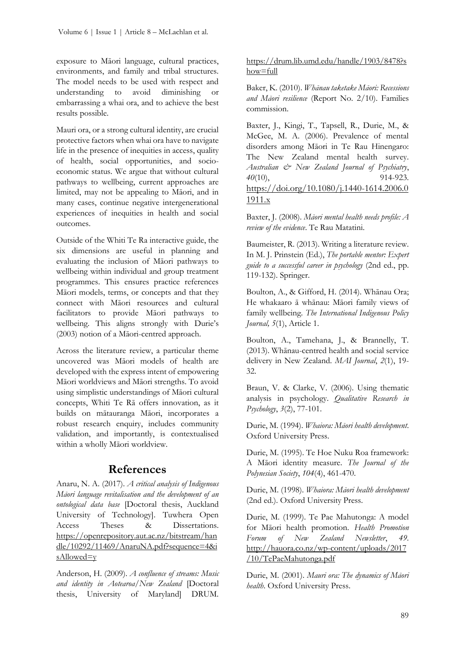exposure to Māori language, cultural practices, environments, and family and tribal structures. The model needs to be used with respect and understanding to avoid diminishing or embarrassing a whai ora, and to achieve the best results possible.

Mauri ora, or a strong cultural identity, are crucial protective factors when whai ora have to navigate life in the presence of inequities in access, quality of health, social opportunities, and socioeconomic status. We argue that without cultural pathways to wellbeing, current approaches are limited, may not be appealing to Māori, and in many cases, continue negative intergenerational experiences of inequities in health and social outcomes.

Outside of the Whiti Te Ra interactive guide, the six dimensions are useful in planning and evaluating the inclusion of Māori pathways to wellbeing within individual and group treatment programmes. This ensures practice references Māori models, terms, or concepts and that they connect with Māori resources and cultural facilitators to provide Māori pathways to wellbeing. This aligns strongly with Durie's (2003) notion of a Māori-centred approach.

Across the literature review, a particular theme uncovered was Māori models of health are developed with the express intent of empowering Māori worldviews and Māori strengths. To avoid using simplistic understandings of Māori cultural concepts, Whiti Te Rā offers innovation, as it builds on mātauranga Māori, incorporates a robust research enquiry, includes community validation, and importantly, is contextualised within a wholly Māori worldview.

# **References**

Anaru, N. A. (2017). *A critical analysis of Indigenous Māori language revitalisation and the development of an ontological data base* [Doctoral thesis, Auckland University of Technology]. Tuwhera Open Access Theses & Dissertations. [https://openrepository.aut.ac.nz/bitstream/han](https://openrepository.aut.ac.nz/bitstream/handle/10292/11469/AnaruNA.pdf?sequence=4&isAllowed=y) [dle/10292/11469/AnaruNA.pdf?sequence=4&i](https://openrepository.aut.ac.nz/bitstream/handle/10292/11469/AnaruNA.pdf?sequence=4&isAllowed=y)  $s$ Allowed=y

Anderson, H. (2009). *A confluence of streams: Music and identity in Aotearoa/New Zealand* [Doctoral thesis, University of Maryland] DRUM.

#### [https://drum.lib.umd.edu/handle/1903/8478?s](https://drum.lib.umd.edu/handle/1903/8478?show=full) [how=full](https://drum.lib.umd.edu/handle/1903/8478?show=full)

Baker, K. (2010). *Whānau taketake Māori: Recessions and Māori resilience* (Report No. 2/10). Families commission.

Baxter, J., Kingi, T., Tapsell, R., Durie, M., & McGee, M. A. (2006). Prevalence of mental disorders among Māori in Te Rau Hinengaro: The New Zealand mental health survey. *Australian & New Zealand Journal of Psychiatry*, *40*(10), 914-923. [https://doi.org/10.1080/j.1440-1614.2006.0](https://doi.org/10.1080/j.1440-1614.2006.01911.x) [1911.x](https://doi.org/10.1080/j.1440-1614.2006.01911.x)

Baxter, J. (2008). *Māori mental health needs profile: A review of the evidence*. Te Rau Matatini.

Baumeister, R. (2013). Writing a literature review. In M. J. Prinstein (Ed.), *The portable mentor: Expert guide to a successful career in psychology* (2nd ed., pp. 119-132). Springer.

Boulton, A., & Gifford, H. (2014). Whānau Ora; He whakaaro ā whānau: Māori family views of family wellbeing. *The International Indigenous Policy Journal, 5*(1), Article 1.

Boulton, A., Tamehana, J., & Brannelly, T. (2013). Whānau-centred health and social service delivery in New Zealand. *MAI Journal*, *2*(1), 19- 32.

Braun, V. & Clarke, V. (2006). Using thematic analysis in psychology. *Qualitative Research in Psychology*, *3*(2), 77-101.

Durie, M. (1994). *Whaiora: Māori health development*. Oxford University Press.

Durie, M. (1995). Te Hoe Nuku Roa framework: A Māori identity measure. *The Journal of the Polynesian Society*, *104*(4), 461-470.

Durie, M. (1998). *Whaiora: Māori health development* (2nd ed.). Oxford University Press.

Durie, M. (1999). Te Pae Mahutonga: A model for Māori health promotion. *Health Promotion Forum of New Zealand Newsletter*, *49*. [http://hauora.co.nz/wp-content/uploads/2017](http://hauora.co.nz/wp-content/uploads/2017/10/TePaeMahutonga.pdf) [/10/TePaeMahutonga.pdf](http://hauora.co.nz/wp-content/uploads/2017/10/TePaeMahutonga.pdf)

Durie, M. (2001). *Mauri ora: The dynamics of Māori health*. Oxford University Press.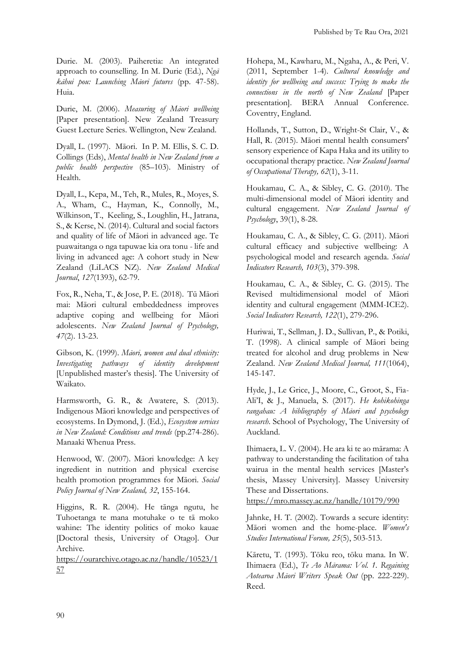Durie. M. (2003). Paiheretia: An integrated approach to counselling. In M. Durie (Ed.), *Ngā kāhui pou: Launching Māori futures* (pp. 47-58). Huia.

Durie, M. (2006). *Measuring of Māori wellbeing* [Paper presentation]. New Zealand Treasury Guest Lecture Series. Wellington, New Zealand.

Dyall, L. (1997). Māori. In P. M. Ellis, S. C. D. Collings (Eds), *Mental health in New Zealand from a public health perspective* (85–103). Ministry of Health.

Dyall, L., Kepa, M., Teh, R., Mules, R., Moyes, S. A., Wham, C., Hayman, K., Connolly, M., Wilkinson, T., Keeling, S., Loughlin, H., Jatrana, S., & Kerse, N. (2014). Cultural and social factors and quality of life of Māori in advanced age. Te puawaitanga o nga tapuwae kia ora tonu - life and living in advanced age: A cohort study in New Zealand (LiLACS NZ). *New Zealand Medical Journal*, *127*(1393), 62-79.

Fox, R., Neha, T., & Jose, P. E. (2018). Tū Māori mai: Māori cultural embeddedness improves adaptive coping and wellbeing for Māori adolescents. *New Zealand Journal of Psychology, 47*(2). 13-23.

Gibson, K. (1999). *Māori, women and dual ethnicity: Investigating pathways of identity development* [Unpublished master's thesis]. The University of Waikato.

Harmsworth, G. R., & Awatere, S. (2013). Indigenous Māori knowledge and perspectives of ecosystems. In Dymond, J. (Ed.), *Ecosystem services in New Zealand: Conditions and trends* (pp.274-286). Manaaki Whenua Press.

Henwood, W. (2007). Māori knowledge: A key ingredient in nutrition and physical exercise health promotion programmes for Māori. *Social Policy Journal of New Zealand, 32*, 155-164.

Higgins, R. R. (2004). He tānga ngutu, he Tuhoetanga te mana motuhake o te tā moko wahine: The identity politics of moko kauae [Doctoral thesis, University of Otago]. Our Archive.

[https://ourarchive.otago.ac.nz/handle/10523/1](https://ourarchive.otago.ac.nz/handle/10523/157) [57](https://ourarchive.otago.ac.nz/handle/10523/157) 

Hohepa, M., Kawharu, M., Ngaha, A., & Peri, V. (2011, September 1-4). *Cultural knowledge and identity for wellbeing and success: Trying to make the connections in the north of New Zealand* [Paper presentation]. BERA Annual Conference. Coventry, England.

Hollands, T., Sutton, D., Wright-St Clair, V., & Hall, R. (2015). Māori mental health consumers' sensory experience of Kapa Haka and its utility to occupational therapy practice. *New Zealand Journal of Occupational Therapy, 62*(1), 3-11.

Houkamau, C. A., & Sibley, C. G. (2010). The multi-dimensional model of Māori identity and cultural engagement. *New Zealand Journal of Psychology*, 39(1), 8-28.

Houkamau, C. A., & Sibley, C. G. (2011). Māori cultural efficacy and subjective wellbeing: A psychological model and research agenda. *Social Indicators Research, 103*(3), 379-398.

Houkamau, C. A., & Sibley, C. G. (2015). The Revised multidimensional model of Māori identity and cultural engagement (MMM-ICE2). *Social Indicators Research, 122*(1), 279-296.

Huriwai, T., Sellman, J. D., Sullivan, P., & Potiki, T. (1998). A clinical sample of Māori being treated for alcohol and drug problems in New Zealand. *New Zealand Medical Journal, 111*(1064), 145-147.

Hyde, J., Le Grice, J., Moore, C., Groot, S., Fia-Ali'I, & J., Manuela, S. (2017). *He kohikohinga rangahau: A bibliography of Māori and psychology research*. School of Psychology, The University of Auckland.

Ihimaera, L. V. (2004). He ara ki te ao mārama: A pathway to understanding the facilitation of taha wairua in the mental health services [Master's thesis, Massey University]. Massey University These and Dissertations.

<https://mro.massey.ac.nz/handle/10179/990>

Jahnke, H. T. (2002). Towards a secure identity: Māori women and the home-place. *Women's Studies International Forum, 25*(5), 503-513.

Kāretu, T. (1993). Tōku reo, tōku mana. In W. Ihimaera (Ed.), *Te Ao Mārama: Vol. 1. Regaining Aotearoa Māori Writers Speak Out* (pp. 222-229). Reed.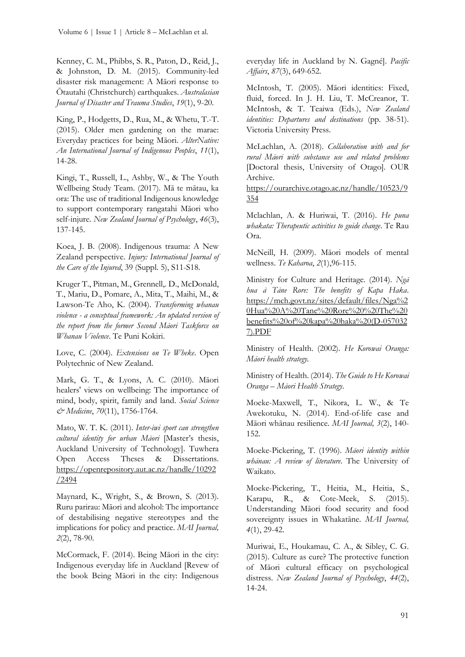Kenney, C. M., Phibbs, S. R., Paton, D., Reid, J., & Johnston, D. M. (2015). Community-led disaster risk management: A Māori response to Ōtautahi (Christchurch) earthquakes. *Australasian Journal of Disaster and Trauma Studies*, *19*(1), 9-20.

King, P., Hodgetts, D., Rua, M., & Whetu, T.-T. (2015). Older men gardening on the marae: Everyday practices for being Māori. *AlterNative: An International Journal of Indigenous Peoples*, *11*(1), 14-28.

Kingi, T., Russell, L., Ashby, W., & The Youth Wellbeing Study Team. (2017). Mā te mātau, ka ora: The use of traditional Indigenous knowledge to support contemporary rangatahi Māori who self-injure. *New Zealand Journal of Psychology*, *46*(3), 137-145.

Koea, J. B. (2008). Indigenous trauma: A New Zealand perspective. *Injury: International Journal of the Care of the Injured*, 39 (Suppl. 5), S11-S18.

Kruger T., Pitman, M., Grennell,. D., McDonald, T., Mariu, D., Pomare, A., Mita, T., Maihi, M., & Lawson-Te Aho, K. (2004). *Transforming whanau violence - a conceptual framework: An updated version of the report from the former Second Māori Taskforce on Whanau Violence*. Te Puni Kokiri.

Love, C. (2004). *Extensions on Te Wheke*. Open Polytechnic of New Zealand.

Mark, G. T., & Lyons, A. C. (2010). Māori healers' views on wellbeing: The importance of mind, body, spirit, family and land. *Social Science & Medicine*, *70*(11), 1756-1764.

Mato, W. T. K. (2011). *Inter-iwi sport can strengthen cultural identity for urban Māori* [Master's thesis, Auckland University of Technology]. Tuwhera Open Access Theses & Dissertations. [https://openrepository.aut.ac.nz/handle/10292](https://openrepository.aut.ac.nz/handle/10292/2494) [/2494](https://openrepository.aut.ac.nz/handle/10292/2494) 

Maynard, K., Wright, S., & Brown, S. (2013). Ruru parirau: Māori and alcohol: The importance of destabilising negative stereotypes and the implications for policy and practice. *MAI Journal, 2*(2), 78-90.

McCormack, F. (2014). Being Māori in the city: Indigenous everyday life in Auckland [Revew of the book Being Māori in the city: Indigenous everyday life in Auckland by N. Gagné]. *Pacific Affairs*, *87*(3), 649-652.

McIntosh, T. (2005). Māori identities: Fixed, fluid, forced. In J. H. Liu, T. McCreanor, T. McIntosh, & T. Teaiwa (Eds.), *New Zealand identities: Departures and destinations* (pp. 38-51). Victoria University Press.

McLachlan, A. (2018). *Collaboration with and for rural Māori with substance use and related problems*  [Doctoral thesis, University of Otago]. OUR Archive.

[https://ourarchive.otago.ac.nz/handle/10523/9](https://ourarchive.otago.ac.nz/handle/10523/9354) [354](https://ourarchive.otago.ac.nz/handle/10523/9354)

Mclachlan, A. & Huriwai, T. (2016). *He puna whakata: Therapeutic activities to guide change*. Te Rau Ora.

McNeill, H. (2009). Māori models of mental wellness. *Te Kaharoa*, *2*(1),96-115.

Ministry for Culture and Heritage. (2014). *Ngā hua ā Tāne Rore: The benefits of Kapa Haka*. [https://mch.govt.nz/sites/default/files/Nga%2](https://mch.govt.nz/sites/default/files/Nga%20Hua%20A%20Tane%20Rore%20%20The%20benefits%20of%20kapa%20haka%20(D-0570327).PDF) [0Hua%20A%20Tane%20Rore%20%20The%20](https://mch.govt.nz/sites/default/files/Nga%20Hua%20A%20Tane%20Rore%20%20The%20benefits%20of%20kapa%20haka%20(D-0570327).PDF) [benefits%20of%20kapa%20haka%20\(D-057032](https://mch.govt.nz/sites/default/files/Nga%20Hua%20A%20Tane%20Rore%20%20The%20benefits%20of%20kapa%20haka%20(D-0570327).PDF) [7\).PDF](https://mch.govt.nz/sites/default/files/Nga%20Hua%20A%20Tane%20Rore%20%20The%20benefits%20of%20kapa%20haka%20(D-0570327).PDF)

Ministry of Health. (2002). *He Korowai Oranga: Māori health strategy.*

Ministry of Health. (2014). *The Guide to He Korowai Oranga – Māori Health Strategy*.

Moeke-Maxwell, T., Nikora, L. W., & Te Awekotuku, N. (2014). End-of-life case and Māori whānau resilience. *MAI Journal, 3*(2), 140- 152.

Moeke-Pickering, T. (1996). *Māori identity within whānau: A review of literature*. The University of Waikato.

Moeke-Pickering, T., Heitia, M., Heitia, S., Karapu, R., & Cote-Meek, S. (2015). Understanding Māori food security and food sovereignty issues in Whakatāne. *MAI Journal, 4*(1), 29-42.

Muriwai, E., Houkamau, C. A., & Sibley, C. G. (2015). Culture as cure? The protective function of Māori cultural efficacy on psychological distress. *New Zealand Journal of Psychology*, *44*(2), 14-24.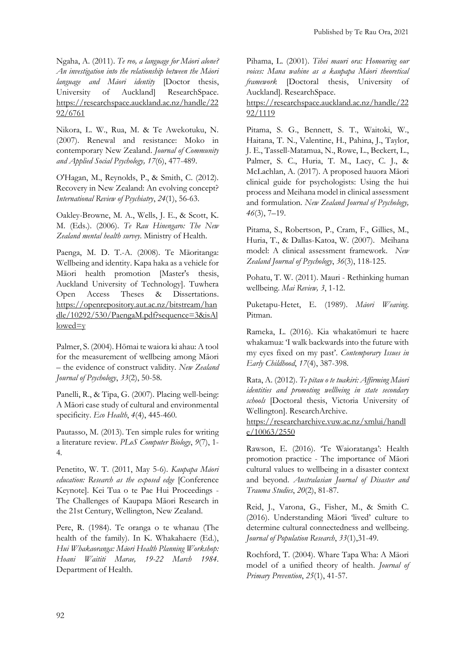Ngaha, A. (2011). *Te reo, a language for Māori alone? An investigation into the relationship between the Māori language and Māori identity* [Doctor thesis, University of Auckland] ResearchSpace. [https://researchspace.auckland.ac.nz/handle/22](https://researchspace.auckland.ac.nz/handle/2292/6761) [92/6761](https://researchspace.auckland.ac.nz/handle/2292/6761)

Nikora, L. W., Rua, M. & Te Awekotuku, N. (2007). Renewal and resistance: Moko in contemporary New Zealand. *Journal of Community and Applied Social Psychology, 17*(6), 477-489.

O'Hagan, M., Reynolds, P., & Smith, C. (2012). Recovery in New Zealand: An evolving concept? *International Review of Psychiatry*, *24*(1), 56-63.

Oakley-Browne, M. A., Wells, J. E., & Scott, K. M. (Eds.). (2006). *Te Rau Hinengaro: The New Zealand mental health survey*. Ministry of Health.

Paenga, M. D. T.-A. (2008). Te Māoritanga: Wellbeing and identity. Kapa haka as a vehicle for Māori health promotion [Master's thesis, Auckland University of Technology]. Tuwhera Open Access Theses & Dissertations. [https://openrepository.aut.ac.nz/bitstream/han](https://openrepository.aut.ac.nz/bitstream/handle/10292/530/PaengaM.pdf?sequence=3&isAllowed=y) [dle/10292/530/PaengaM.pdf?sequence=3&isAl](https://openrepository.aut.ac.nz/bitstream/handle/10292/530/PaengaM.pdf?sequence=3&isAllowed=y)  $lowed=v$ 

Palmer, S. (2004). Hōmai te waiora ki ahau: A tool for the measurement of wellbeing among Māori – the evidence of construct validity. *New Zealand Journal of Psychology*, *33*(2), 50-58.

Panelli, R., & Tipa, G. (2007). Placing well-being: A Māori case study of cultural and environmental specificity. *Eco Health*, *4*(4), 445-460.

Pautasso, M. (2013). Ten simple rules for writing a literature review. *PLoS Computer Biology*, *9*(7), 1- 4.

Penetito, W. T. (2011, May 5-6). *Kaupapa Māori education: Research as the exposed edge* [Conference Keynote]. Kei Tua o te Pae Hui Proceedings - The Challenges of Kaupapa Māori Research in the 21st Century, Wellington, New Zealand.

Pere, R. (1984). Te oranga o te whanau (The health of the family). In K. Whakahaere (Ed.), *Hui Whakaoranga: Māori Health Planning Workshop: Hoani Waititi Marae, 19-22 March 1984*. Department of Health.

Pihama, L. (2001). *Tihei mauri ora: Honouring our voices: Mana wahine as a kaupapa Māori theoretical framework* [Doctoral thesis, University of Auckland]. ResearchSpace.

[https://researchspace.auckland.ac.nz/handle/22](https://researchspace.auckland.ac.nz/handle/2292/1119) [92/1119](https://researchspace.auckland.ac.nz/handle/2292/1119) 

Pitama, S. G., Bennett, S. T., Waitoki, W., Haitana, T. N., Valentine, H., Pahina, J., Taylor, J. E., Tassell-Matamua, N., Rowe, L., Beckert, L., Palmer, S. C., Huria, T. M., Lacy, C. J., & McLachlan, A. (2017). A proposed hauora Māori clinical guide for psychologists: Using the hui process and Meihana model in clinical assessment and formulation. *New Zealand Journal of Psychology, 46*(3), 7–19.

Pitama, S., Robertson, P., Cram, F., Gillies, M., Huria, T., & Dallas-Katoa, W. (2007). Meihana model: A clinical assessment framework. *New Zealand Journal of Psychology*, *36*(3), 118-125.

Pohatu, T. W. (2011). Mauri - Rethinking human wellbeing. *Mai Review, 3*, 1-12.

Puketapu-Hetet, E. (1989). *Māori Weaving*. Pitman.

Rameka, L. (2016). Kia whakatōmuri te haere whakamua: 'I walk backwards into the future with my eyes fixed on my past'. *Contemporary Issues in Early Childhood*, *17*(4), 387-398.

Rata, A. (2012). *Te pītau o te tuakiri: Affirming Māori identities and promoting wellbeing in state secondary schools* [Doctoral thesis, Victoria University of Wellington]. ResearchArchive.

[https://researcharchive.vuw.ac.nz/xmlui/handl](https://researcharchive.vuw.ac.nz/xmlui/handle/10063/2550)  $e/10063/2550$ 

Rawson, E. (2016). 'Te Waioratanga': Health promotion practice - The importance of Māori cultural values to wellbeing in a disaster context and beyond. *Australasian Journal of Disaster and Trauma Studies*, *20*(2), 81-87.

Reid, J., Varona, G., Fisher, M., & Smith C. (2016). Understanding Māori 'lived' culture to determine cultural connectedness and wellbeing. *Journal of Population Research*, *33*(1),31-49.

Rochford, T. (2004). Whare Tapa Wha: A Mäori model of a unified theory of health. *Journal of Primary Prevention*, *25*(1), 41-57.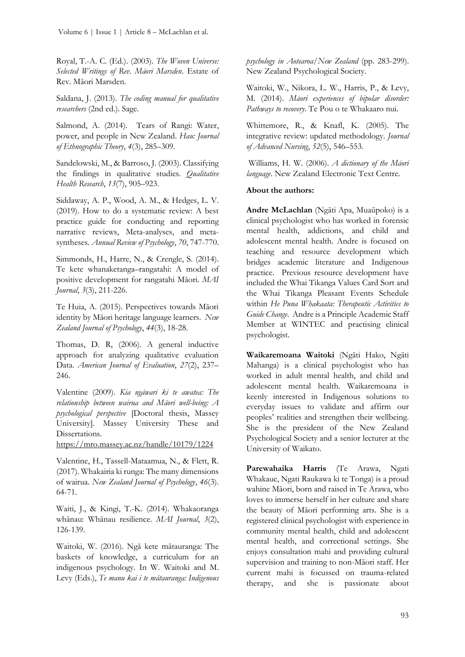Royal, T.-A. C. (Ed.). (2003). *The Woven Universe: Selected Writings of Rev. Māori Marsden*. Estate of Rev. Māori Marsden.

Saldana, J. (2013). *The coding manual for qualitative researchers* (2nd ed.). Sage.

Salmond, A. (2014). Tears of Rangi: Water, power, and people in New Zealand. *Hau: Journal of Ethnographic Theory*, *4*(3), 285–309.

Sandelowski, M., & Barroso, J. (2003). Classifying the findings in qualitative studies. *Qualitative Health Research*, *13*(7), 905–923.

Siddaway, A. P., Wood, A. M., & Hedges, L. V. (2019). How to do a systematic review: A best practice guide for conducting and reporting narrative reviews, Meta-analyses, and metasyntheses. *Annual Review of Psychology*, *70*, 747-770.

Simmonds, H., Harre, N., & Crengle, S. (2014). Te kete whanaketanga–rangatahi: A model of positive development for rangatahi Māori*. MAI Journal*, *3*(3), 211-226.

Te Huia, A. (2015). Perspectives towards Māori identity by Māori heritage language learners. *New Zealand Journal of Psychology*, *44*(3), 18-28.

Thomas, D. R, (2006). A general inductive approach for analyzing qualitative evaluation Data. *American Journal of Evaluation*, *27*(2), 237– 246.

Valentine (2009). *Kia ngāwari ki te awatea: The relationship between wairua and Mäori well-being: A psychological perspective* [Doctoral thesis, Massey University]. Massey University These and Dissertations.

<https://mro.massey.ac.nz/handle/10179/1224>

Valentine, H., Tassell-Mataamua, N., & Flett, R. (2017). Whakairia ki runga: The many dimensions of wairua. *New Zealand Journal of Psychology*, *46*(3). 64-71.

Waiti, J., & Kingi, T.-K. (2014). Whakaoranga whānau: Whānau resilience. *MAI Journal*, *3*(2), 126-139.

Waitoki, W. (2016). Ngā kete mātauranga: The baskets of knowledge, a curriculum for an indigenous psychology. In W. Waitoki and M. Levy (Eds.), *Te manu kai i te mātauranga: Indigenous*  *psychology in Aotearoa/New Zealand* (pp. 283-299). New Zealand Psychological Society.

Waitoki, W., Nikora, L. W., Harris, P., & Levy, M. (2014). *Māori experiences of bipolar disorder: Pathways to recovery*. Te Pou o te Whakaaro nui.

Whittemore, R., & Knafl, K. (2005). The integrative review: updated methodology. *Journal of Advanced Nursing*, *52*(5), 546–553.

Williams, H. W. (2006). *A dictionary of the Māori language*. New Zealand Electronic Text Centre.

#### **About the authors:**

**Andre McLachlan** (Ngāti Apa, Muaūpoko) is a clinical psychologist who has worked in forensic mental health, addictions, and child and adolescent mental health. Andre is focused on teaching and resource development which bridges academic literature and Indigenous practice. Previous resource development have included the Whai Tikanga Values Card Sort and the Whai Tikanga Pleasant Events Schedule within *He Puna Whakaata: Therapeutic Activities to Guide Change*. Andre is a Principle Academic Staff Member at WINTEC and practising clinical psychologist.

**Waikaremoana Waitoki** (Ngāti Hako, Ngāti Mahanga) is a clinical psychologist who has worked in adult mental health, and child and adolescent mental health. Waikaremoana is keenly interested in Indigenous solutions to everyday issues to validate and affirm our peoples' realities and strengthen their wellbeing. She is the president of the New Zealand Psychological Society and a senior lecturer at the University of Waikato.

**Parewahaika Harris** (Te Arawa, Ngati Whakaue, Ngati Raukawa ki te Tonga) is a proud wahine Māori, born and raised in Te Arawa, who loves to immerse herself in her culture and share the beauty of Māori performing arts. She is a registered clinical psychologist with experience in community mental health, child and adolescent mental health, and correctional settings. She enjoys consultation mahi and providing cultural supervision and training to non-Māori staff. Her current mahi is focussed on trauma-related therapy, and she is passionate about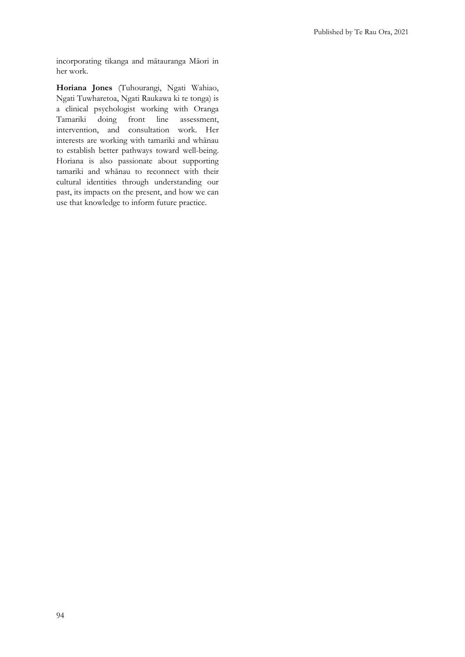incorporating tikanga and mātauranga Māori in her work.

**Horiana Jones** (Tuhourangi, Ngati Wahiao, Ngati Tuwharetoa, Ngati Raukawa ki te tonga) is a clinical psychologist working with Oranga<br>Tamariki doing front line assessment, front line intervention, and consultation work. Her interests are working with tamariki and whānau to establish better pathways toward well-being. Horiana is also passionate about supporting tamariki and whānau to reconnect with their cultural identities through understanding our past, its impacts on the present, and how we can use that knowledge to inform future practice.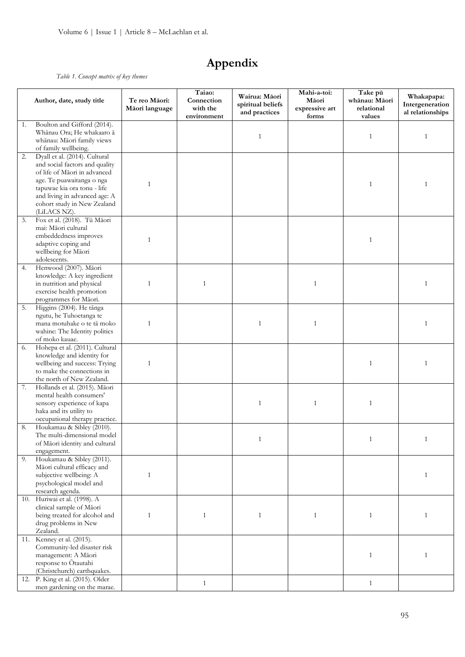# **Appendix**

*Table 1. Concept matrix of key themes* 

|     |                                  |                                 | Taiao:                                |                                                     | Mahi-a-toi:                      |                                                  |                                                   |  |  |  |
|-----|----------------------------------|---------------------------------|---------------------------------------|-----------------------------------------------------|----------------------------------|--------------------------------------------------|---------------------------------------------------|--|--|--|
|     | Author, date, study title        | Te reo Māori:<br>Māori language | Connection<br>with the<br>environment | Wairua: Māori<br>spiritual beliefs<br>and practices | Māori<br>expressive art<br>forms | Take pū<br>whānau: Māori<br>relational<br>values | Whakapapa:<br>Intergeneration<br>al relationships |  |  |  |
| 1.  | Boulton and Gifford (2014).      |                                 |                                       |                                                     |                                  |                                                  |                                                   |  |  |  |
|     | Whānau Ora; He whakaaro ā        |                                 |                                       |                                                     |                                  |                                                  |                                                   |  |  |  |
|     | whānau: Māori family views       |                                 |                                       | $\mathbf{1}$                                        |                                  | $\mathbf{1}$                                     | 1                                                 |  |  |  |
|     | of family wellbeing.             |                                 |                                       |                                                     |                                  |                                                  |                                                   |  |  |  |
| 2.  | Dyall et al. (2014). Cultural    |                                 |                                       |                                                     |                                  |                                                  |                                                   |  |  |  |
|     | and social factors and quality   |                                 |                                       |                                                     |                                  |                                                  |                                                   |  |  |  |
|     |                                  |                                 |                                       |                                                     |                                  |                                                  |                                                   |  |  |  |
|     | of life of Māori in advanced     |                                 |                                       |                                                     |                                  |                                                  |                                                   |  |  |  |
|     | age. Te puawaitanga o nga        | $\mathbf{1}$                    |                                       |                                                     |                                  | $\mathbf{1}$                                     | 1                                                 |  |  |  |
|     | tapuwae kia ora tonu - life      |                                 |                                       |                                                     |                                  |                                                  |                                                   |  |  |  |
|     | and living in advanced age: A    |                                 |                                       |                                                     |                                  |                                                  |                                                   |  |  |  |
|     | cohort study in New Zealand      |                                 |                                       |                                                     |                                  |                                                  |                                                   |  |  |  |
|     | (LiLACS NZ).                     |                                 |                                       |                                                     |                                  |                                                  |                                                   |  |  |  |
| 3.  | Fox et al. (2018). Tū Māori      |                                 |                                       |                                                     |                                  |                                                  |                                                   |  |  |  |
|     | mai: Māori cultural              |                                 |                                       |                                                     |                                  |                                                  |                                                   |  |  |  |
|     | embeddedness improves            |                                 |                                       |                                                     |                                  |                                                  |                                                   |  |  |  |
|     | adaptive coping and              | $\mathbf{1}$                    |                                       |                                                     |                                  | $\mathbf{1}$                                     |                                                   |  |  |  |
|     | wellbeing for Māori              |                                 |                                       |                                                     |                                  |                                                  |                                                   |  |  |  |
|     | adolescents.                     |                                 |                                       |                                                     |                                  |                                                  |                                                   |  |  |  |
| 4.  | Henwood (2007). Māori            |                                 |                                       |                                                     |                                  |                                                  |                                                   |  |  |  |
|     | knowledge: A key ingredient      |                                 |                                       |                                                     |                                  |                                                  |                                                   |  |  |  |
|     | in nutrition and physical        | $\mathbf{1}$                    | 1                                     |                                                     | 1                                |                                                  | 1                                                 |  |  |  |
|     |                                  |                                 |                                       |                                                     |                                  |                                                  |                                                   |  |  |  |
|     | exercise health promotion        |                                 |                                       |                                                     |                                  |                                                  |                                                   |  |  |  |
|     | programmes for Māori.            |                                 |                                       |                                                     |                                  |                                                  |                                                   |  |  |  |
| 5.  | Higgins (2004). He tānga         |                                 |                                       |                                                     |                                  |                                                  |                                                   |  |  |  |
|     | ngutu, he Tuhoetanga te          |                                 |                                       |                                                     |                                  |                                                  |                                                   |  |  |  |
|     | mana motuhake o te tā moko       | $\mathbf{1}$                    |                                       | 1                                                   | $\mathbf{1}$                     |                                                  | 1                                                 |  |  |  |
|     | wahine: The Identity politics    |                                 |                                       |                                                     |                                  |                                                  |                                                   |  |  |  |
|     | of moko kauae.                   |                                 |                                       |                                                     |                                  |                                                  |                                                   |  |  |  |
| 6.  | Hohepa et al. (2011). Cultural   |                                 |                                       |                                                     |                                  |                                                  |                                                   |  |  |  |
|     | knowledge and identity for       |                                 |                                       |                                                     |                                  |                                                  |                                                   |  |  |  |
|     | wellbeing and success: Trying    | $\mathbf{1}$                    |                                       |                                                     |                                  | 1                                                | $\mathbf{1}$                                      |  |  |  |
|     | to make the connections in       |                                 |                                       |                                                     |                                  |                                                  |                                                   |  |  |  |
|     | the north of New Zealand.        |                                 |                                       |                                                     |                                  |                                                  |                                                   |  |  |  |
| 7.  | Hollands et al. (2015). Māori    |                                 |                                       |                                                     |                                  |                                                  |                                                   |  |  |  |
|     | mental health consumers'         |                                 |                                       |                                                     |                                  |                                                  |                                                   |  |  |  |
|     | sensory experience of kapa       |                                 |                                       | 1                                                   | 1                                | $\mathbf{1}$                                     |                                                   |  |  |  |
|     | haka and its utility to          |                                 |                                       |                                                     |                                  |                                                  |                                                   |  |  |  |
|     | occupational therapy practice.   |                                 |                                       |                                                     |                                  |                                                  |                                                   |  |  |  |
|     |                                  |                                 |                                       |                                                     |                                  |                                                  |                                                   |  |  |  |
| 8.  | Houkamau & Sibley (2010).        |                                 |                                       |                                                     |                                  |                                                  |                                                   |  |  |  |
|     | The multi-dimensional model      |                                 |                                       | $\mathbf{1}$                                        |                                  | $\mathbf{1}$                                     | $\mathbf{1}$                                      |  |  |  |
|     | of Māori identity and cultural   |                                 |                                       |                                                     |                                  |                                                  |                                                   |  |  |  |
|     | engagement.                      |                                 |                                       |                                                     |                                  |                                                  |                                                   |  |  |  |
| 9.  | Houkamau & Sibley (2011).        |                                 |                                       |                                                     |                                  |                                                  |                                                   |  |  |  |
|     | Māori cultural efficacy and      |                                 |                                       |                                                     |                                  |                                                  |                                                   |  |  |  |
|     | subjective wellbeing: A          | $\mathbf{1}$                    |                                       |                                                     |                                  |                                                  | 1                                                 |  |  |  |
|     | psychological model and          |                                 |                                       |                                                     |                                  |                                                  |                                                   |  |  |  |
|     | research agenda.                 |                                 |                                       |                                                     |                                  |                                                  |                                                   |  |  |  |
| 10. | Huriwai et al. (1998). A         |                                 |                                       |                                                     |                                  |                                                  |                                                   |  |  |  |
|     | clinical sample of Māori         |                                 |                                       |                                                     |                                  |                                                  |                                                   |  |  |  |
|     | being treated for alcohol and    | $\mathbf{1}$                    | $\mathbf{1}$                          | $\mathbf{1}$                                        | $\mathbf{1}$                     | $\mathbf{1}$                                     | $\mathbf{1}$                                      |  |  |  |
|     | drug problems in New             |                                 |                                       |                                                     |                                  |                                                  |                                                   |  |  |  |
|     | Zealand.                         |                                 |                                       |                                                     |                                  |                                                  |                                                   |  |  |  |
|     | 11. Kenney et al. (2015).        |                                 |                                       |                                                     |                                  |                                                  |                                                   |  |  |  |
|     |                                  |                                 |                                       |                                                     |                                  |                                                  |                                                   |  |  |  |
|     | Community-led disaster risk      |                                 |                                       |                                                     |                                  |                                                  |                                                   |  |  |  |
|     | management: A Māori              |                                 |                                       |                                                     |                                  | $\mathbf{1}$                                     | $\mathbf{1}$                                      |  |  |  |
|     | response to Otautahi             |                                 |                                       |                                                     |                                  |                                                  |                                                   |  |  |  |
|     | (Christchurch) earthquakes.      |                                 |                                       |                                                     |                                  |                                                  |                                                   |  |  |  |
|     | 12. P. King et al. (2015). Older |                                 | $\mathbf{1}$                          |                                                     |                                  | 1                                                |                                                   |  |  |  |
|     | men gardening on the marae.      |                                 |                                       |                                                     |                                  |                                                  |                                                   |  |  |  |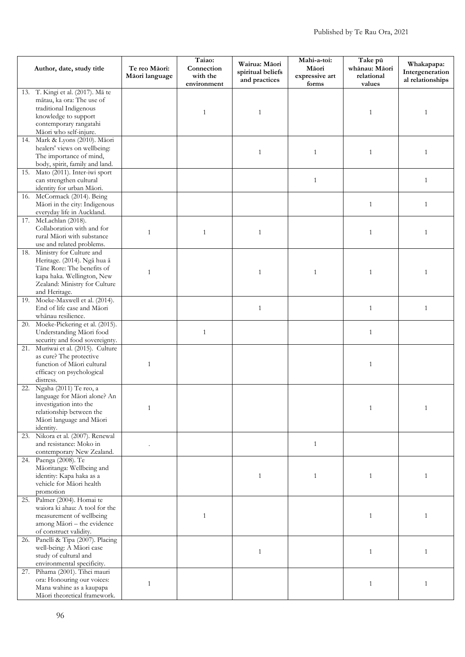| Author, date, study title |                                                                    | Te reo Māori:<br>Māori language | Taiao:<br>Connection<br>with the<br>environment | Wairua: Māori<br>spiritual beliefs<br>and practices | Mahi-a-toi:<br>Māori<br>expressive art<br>forms | Take pū<br>whānau: Māori<br>relational<br>values | Whakapapa:<br>Intergeneration<br>al relationships |
|---------------------------|--------------------------------------------------------------------|---------------------------------|-------------------------------------------------|-----------------------------------------------------|-------------------------------------------------|--------------------------------------------------|---------------------------------------------------|
| 13.                       | T. Kingi et al. (2017). Mā te                                      |                                 |                                                 |                                                     |                                                 |                                                  |                                                   |
|                           | mātau, ka ora: The use of                                          |                                 |                                                 |                                                     |                                                 |                                                  |                                                   |
|                           | traditional Indigenous                                             |                                 |                                                 |                                                     |                                                 |                                                  |                                                   |
|                           | knowledge to support                                               |                                 | 1                                               | $\mathbf{1}$                                        |                                                 | 1                                                | 1                                                 |
|                           | contemporary rangatahi                                             |                                 |                                                 |                                                     |                                                 |                                                  |                                                   |
|                           | Māori who self-injure.                                             |                                 |                                                 |                                                     |                                                 |                                                  |                                                   |
| 14.                       | Mark & Lyons (2010). Māori                                         |                                 |                                                 |                                                     |                                                 |                                                  |                                                   |
|                           | healers' views on wellbeing:                                       |                                 |                                                 | $\mathbf{1}$                                        | $\mathbf{1}$                                    | $\mathbf{1}$                                     | $\mathbf{1}$                                      |
|                           | The importance of mind,                                            |                                 |                                                 |                                                     |                                                 |                                                  |                                                   |
|                           | body, spirit, family and land.<br>15. Mato (2011). Inter-iwi sport |                                 |                                                 |                                                     |                                                 |                                                  |                                                   |
|                           | can strengthen cultural                                            |                                 |                                                 |                                                     | $\mathbf{1}$                                    |                                                  | $\mathbf{1}$                                      |
|                           | identity for urban Māori.                                          |                                 |                                                 |                                                     |                                                 |                                                  |                                                   |
|                           | 16. McCormack (2014). Being                                        |                                 |                                                 |                                                     |                                                 |                                                  |                                                   |
|                           | Māori in the city: Indigenous                                      |                                 |                                                 |                                                     |                                                 | $\mathbf{1}$                                     | $\mathbf{1}$                                      |
|                           | everyday life in Auckland.                                         |                                 |                                                 |                                                     |                                                 |                                                  |                                                   |
|                           | 17. McLachlan (2018).                                              |                                 |                                                 |                                                     |                                                 |                                                  |                                                   |
|                           | Collaboration with and for                                         | $\mathbf{1}$                    | 1                                               | $\mathbf{1}$                                        |                                                 | $\mathbf{1}$                                     | $\mathbf{1}$                                      |
|                           | rural Māori with substance                                         |                                 |                                                 |                                                     |                                                 |                                                  |                                                   |
|                           | use and related problems.                                          |                                 |                                                 |                                                     |                                                 |                                                  |                                                   |
| 18.                       | Ministry for Culture and<br>Heritage. (2014). Ngā hua ā            |                                 |                                                 |                                                     |                                                 |                                                  |                                                   |
|                           | Tāne Rore: The benefits of                                         |                                 |                                                 |                                                     |                                                 |                                                  |                                                   |
|                           | kapa haka. Wellington, New                                         | $\mathbf{1}$                    |                                                 | $\mathbf{1}$                                        | $\mathbf{1}$                                    | $\mathbf{1}$                                     | $\mathbf{1}$                                      |
|                           | Zealand: Ministry for Culture                                      |                                 |                                                 |                                                     |                                                 |                                                  |                                                   |
|                           | and Heritage.                                                      |                                 |                                                 |                                                     |                                                 |                                                  |                                                   |
|                           | 19. Moeke-Maxwell et al. (2014).                                   |                                 |                                                 |                                                     |                                                 |                                                  |                                                   |
|                           | End of life case and Māori                                         |                                 |                                                 | $\mathbf{1}$                                        |                                                 | $\mathbf{1}$                                     | $\mathbf{1}$                                      |
|                           | whānau resilience.                                                 |                                 |                                                 |                                                     |                                                 |                                                  |                                                   |
|                           | 20. Moeke-Pickering et al. (2015).                                 |                                 |                                                 |                                                     |                                                 |                                                  |                                                   |
|                           | Understanding Māori food                                           |                                 | $\mathbf{1}$                                    |                                                     |                                                 | $\mathbf{1}$                                     |                                                   |
|                           | security and food sovereignty.                                     |                                 |                                                 |                                                     |                                                 |                                                  |                                                   |
|                           | 21. Muriwai et al. (2015). Culture                                 |                                 |                                                 |                                                     |                                                 |                                                  |                                                   |
|                           | as cure? The protective<br>function of Māori cultural              | $\mathbf{1}$                    |                                                 |                                                     |                                                 | $\mathbf{1}$                                     |                                                   |
|                           | efficacy on psychological                                          |                                 |                                                 |                                                     |                                                 |                                                  |                                                   |
|                           | distress.                                                          |                                 |                                                 |                                                     |                                                 |                                                  |                                                   |
| 22.                       | Ngaha (2011) Te reo, a                                             |                                 |                                                 |                                                     |                                                 |                                                  |                                                   |
|                           | language for Māori alone? An                                       |                                 |                                                 |                                                     |                                                 |                                                  |                                                   |
|                           | investigation into the                                             | 1                               |                                                 |                                                     |                                                 |                                                  |                                                   |
|                           | relationship between the                                           |                                 |                                                 |                                                     |                                                 |                                                  |                                                   |
|                           | Māori language and Māori                                           |                                 |                                                 |                                                     |                                                 |                                                  |                                                   |
|                           | identity.                                                          |                                 |                                                 |                                                     |                                                 |                                                  |                                                   |
|                           | 23. Nikora et al. (2007). Renewal                                  |                                 |                                                 |                                                     |                                                 |                                                  |                                                   |
|                           | and resistance: Moko in<br>contemporary New Zealand.               |                                 |                                                 |                                                     | $\mathbf{1}$                                    |                                                  |                                                   |
|                           | 24. Paenga (2008). Te                                              |                                 |                                                 |                                                     |                                                 |                                                  |                                                   |
|                           | Māoritanga: Wellbeing and                                          |                                 |                                                 |                                                     |                                                 |                                                  |                                                   |
|                           | identity: Kapa haka as a                                           |                                 |                                                 | $\mathbf{1}$                                        | $\mathbf{1}$                                    | $\mathbf{1}$                                     | 1                                                 |
|                           | vehicle for Māori health                                           |                                 |                                                 |                                                     |                                                 |                                                  |                                                   |
|                           | promotion                                                          |                                 |                                                 |                                                     |                                                 |                                                  |                                                   |
|                           | 25. Palmer (2004). Homai te                                        |                                 |                                                 |                                                     |                                                 |                                                  |                                                   |
|                           | waiora ki ahau: A tool for the                                     |                                 |                                                 |                                                     |                                                 |                                                  |                                                   |
|                           | measurement of wellbeing                                           |                                 | $\mathbf{1}$                                    |                                                     |                                                 | $\mathbf{1}$                                     | 1                                                 |
|                           | among Māori - the evidence<br>of construct validity.               |                                 |                                                 |                                                     |                                                 |                                                  |                                                   |
|                           | 26. Panelli & Tipa (2007). Placing                                 |                                 |                                                 |                                                     |                                                 |                                                  |                                                   |
|                           | well-being: A Māori case                                           |                                 |                                                 |                                                     |                                                 |                                                  |                                                   |
|                           | study of cultural and                                              |                                 |                                                 | $\mathbf{1}$                                        |                                                 | $\mathbf{1}$                                     | 1                                                 |
|                           | environmental specificity.                                         |                                 |                                                 |                                                     |                                                 |                                                  |                                                   |
|                           | 27. Pihama (2001). Tihei mauri                                     |                                 |                                                 |                                                     |                                                 |                                                  |                                                   |
|                           | ora: Honouring our voices:                                         | $\mathbf{1}$                    |                                                 |                                                     |                                                 | $\mathbf{1}$                                     | 1                                                 |
|                           | Mana wahine as a kaupapa                                           |                                 |                                                 |                                                     |                                                 |                                                  |                                                   |
|                           | Māori theoretical framework.                                       |                                 |                                                 |                                                     |                                                 |                                                  |                                                   |